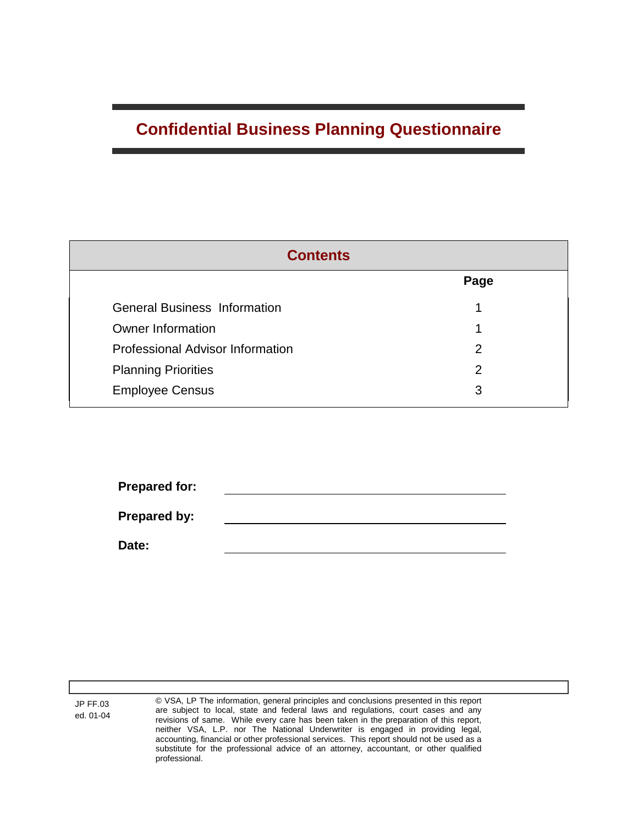## **Confidential Business Planning Questionnaire**

| <b>Contents</b>                         |      |  |  |  |
|-----------------------------------------|------|--|--|--|
|                                         | Page |  |  |  |
| <b>General Business Information</b>     |      |  |  |  |
| <b>Owner Information</b>                |      |  |  |  |
| <b>Professional Advisor Information</b> | 2    |  |  |  |
| <b>Planning Priorities</b>              | 2    |  |  |  |
| <b>Employee Census</b>                  | 3    |  |  |  |

| <b>Prepared for:</b> |  |  |
|----------------------|--|--|
|                      |  |  |
| Prepared by:         |  |  |
|                      |  |  |
| Date:                |  |  |
|                      |  |  |

JP FF.03 ed. 01-04 © VSA, LP The information, general principles and conclusions presented in this report are subject to local, state and federal laws and regulations, court cases and any revisions of same. While every care has been taken in the preparation of this report, neither VSA, L.P. nor The National Underwriter is engaged in providing legal, accounting, financial or other professional services. This report should not be used as a substitute for the professional advice of an attorney, accountant, or other qualified professional.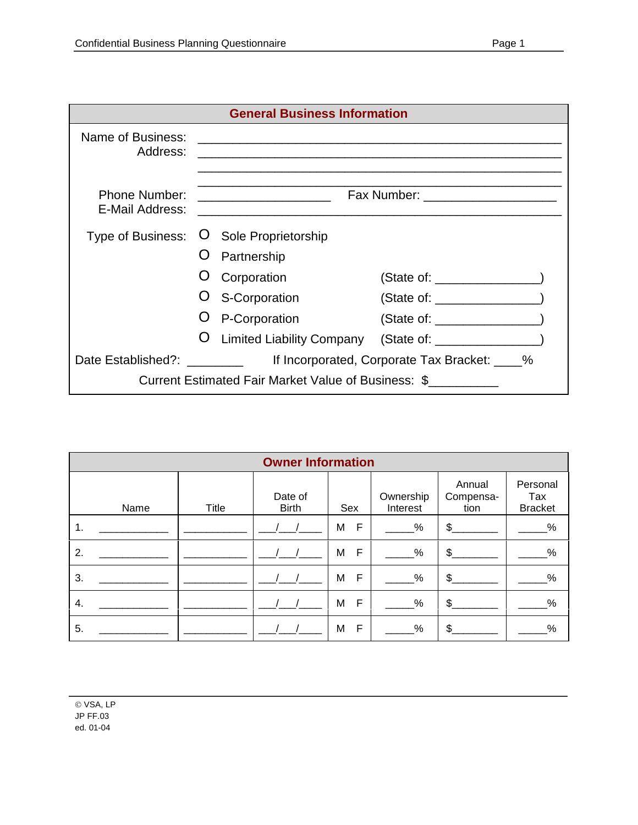| <b>General Business Information</b> |  |                                                                                           |                       |  |  |
|-------------------------------------|--|-------------------------------------------------------------------------------------------|-----------------------|--|--|
| Name of Business:<br>Address:       |  |                                                                                           |                       |  |  |
| Phone Number:<br>E-Mail Address:    |  | the control of the control of the control of the control of the control of the control of |                       |  |  |
|                                     |  | Type of Business: O Sole Proprietorship                                                   |                       |  |  |
|                                     |  | Partnership                                                                               |                       |  |  |
|                                     |  | Corporation                                                                               | (State of: __________ |  |  |
|                                     |  | S-Corporation                                                                             | State of:             |  |  |

|                                                     | O P-Corporation             | (State of:                                    |  |  |  |
|-----------------------------------------------------|-----------------------------|-----------------------------------------------|--|--|--|
|                                                     | O Limited Liability Company | (State of: ____________                       |  |  |  |
| Date Established?: ________                         |                             | If Incorporated, Corporate Tax Bracket: ____% |  |  |  |
| Current Estimated Fair Market Value of Business: \$ |                             |                                               |  |  |  |

| <b>Owner Information</b> |       |                         |                   |                       |                             |                                   |
|--------------------------|-------|-------------------------|-------------------|-----------------------|-----------------------------|-----------------------------------|
| Name                     | Title | Date of<br><b>Birth</b> | Sex               | Ownership<br>Interest | Annual<br>Compensa-<br>tion | Personal<br>Tax<br><b>Bracket</b> |
| 1.                       |       |                         | F<br>M            | %                     | $\mathfrak{S}$              | $\frac{9}{6}$                     |
| 2.                       |       |                         | $\mathsf{F}$<br>M | %                     | \$                          | %                                 |
| 3.                       |       |                         | F<br>M            | %                     | $\mathfrak{S}$              | $\%$                              |
| 4.                       |       |                         | F<br>M            | %                     | $\mathfrak{L}$              | $\%$                              |
| 5.                       |       |                         | F<br>M            | %                     | \$                          | $\%$                              |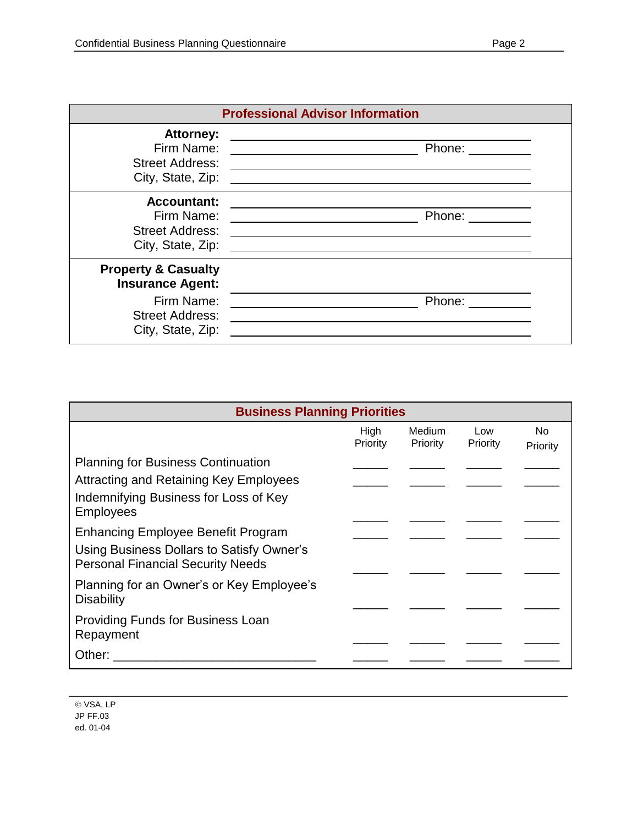|                                                                                                                        | <b>Professional Advisor Information</b>                                                                                                                                                                      |
|------------------------------------------------------------------------------------------------------------------------|--------------------------------------------------------------------------------------------------------------------------------------------------------------------------------------------------------------|
| <b>Attorney:</b><br>Firm Name:<br><b>Street Address:</b><br>City, State, Zip:                                          | Phone: $\frac{\ }{\ }$<br><u> 1980 - Johann Barbara, martxa alemaniar amerikan a</u><br><u> Alexandria de la contexta de la contexta de la contexta de la contexta de la contexta de la contexta de la c</u> |
| <b>Accountant:</b><br>Firm Name:<br><b>Street Address:</b><br>City, State, Zip:                                        | Phone: ______<br><u> 1980 - Andrea Andrew Maria (h. 1980).</u><br>the contract of the contract of the contract of the contract of the contract of the contract of                                            |
| <b>Property &amp; Casualty</b><br><b>Insurance Agent:</b><br>Firm Name:<br><b>Street Address:</b><br>City, State, Zip: | Phone:                                                                                                                                                                                                       |

| <b>Business Planning Priorities</b>                                                   |                  |                                  |                 |                 |  |
|---------------------------------------------------------------------------------------|------------------|----------------------------------|-----------------|-----------------|--|
|                                                                                       | High<br>Priority | <b>Medium</b><br><b>Priority</b> | Low<br>Priority | No.<br>Priority |  |
| <b>Planning for Business Continuation</b>                                             |                  |                                  |                 |                 |  |
| <b>Attracting and Retaining Key Employees</b>                                         |                  |                                  |                 |                 |  |
| Indemnifying Business for Loss of Key<br><b>Employees</b>                             |                  |                                  |                 |                 |  |
| <b>Enhancing Employee Benefit Program</b>                                             |                  |                                  |                 |                 |  |
| Using Business Dollars to Satisfy Owner's<br><b>Personal Financial Security Needs</b> |                  |                                  |                 |                 |  |
| Planning for an Owner's or Key Employee's<br><b>Disability</b>                        |                  |                                  |                 |                 |  |
| <b>Providing Funds for Business Loan</b><br>Repayment                                 |                  |                                  |                 |                 |  |
| Other:                                                                                |                  |                                  |                 |                 |  |